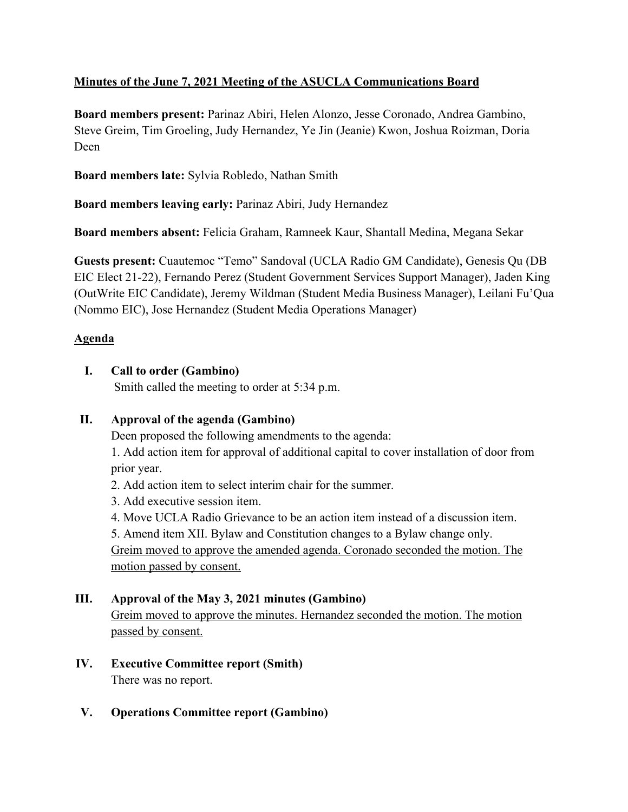# **Minutes of the June 7, 2021 Meeting of the ASUCLA Communications Board**

**Board members present:** Parinaz Abiri, Helen Alonzo, Jesse Coronado, Andrea Gambino, Steve Greim, Tim Groeling, Judy Hernandez, Ye Jin (Jeanie) Kwon, Joshua Roizman, Doria Deen

**Board members late:** Sylvia Robledo, Nathan Smith

**Board members leaving early:** Parinaz Abiri, Judy Hernandez

**Board members absent:** Felicia Graham, Ramneek Kaur, Shantall Medina, Megana Sekar

**Guests present:** Cuautemoc "Temo" Sandoval (UCLA Radio GM Candidate), Genesis Qu (DB EIC Elect 21-22), Fernando Perez (Student Government Services Support Manager), Jaden King (OutWrite EIC Candidate), Jeremy Wildman (Student Media Business Manager), Leilani Fu'Qua (Nommo EIC), Jose Hernandez (Student Media Operations Manager)

# **Agenda**

# **I. Call to order (Gambino)**

Smith called the meeting to order at 5:34 p.m.

# **II. Approval of the agenda (Gambino)**

Deen proposed the following amendments to the agenda:

1. Add action item for approval of additional capital to cover installation of door from prior year.

- 2. Add action item to select interim chair for the summer.
- 3. Add executive session item.
- 4. Move UCLA Radio Grievance to be an action item instead of a discussion item.

5. Amend item XII. Bylaw and Constitution changes to a Bylaw change only. Greim moved to approve the amended agenda. Coronado seconded the motion. The motion passed by consent.

# **III. Approval of the May 3, 2021 minutes (Gambino)**

Greim moved to approve the minutes. Hernandez seconded the motion. The motion passed by consent.

**IV. Executive Committee report (Smith)** There was no report.

### **V. Operations Committee report (Gambino)**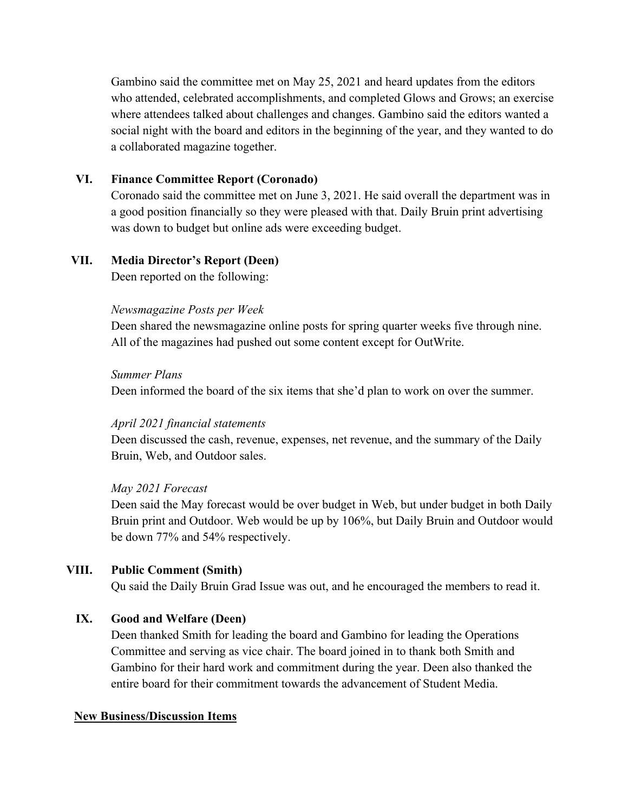Gambino said the committee met on May 25, 2021 and heard updates from the editors who attended, celebrated accomplishments, and completed Glows and Grows; an exercise where attendees talked about challenges and changes. Gambino said the editors wanted a social night with the board and editors in the beginning of the year, and they wanted to do a collaborated magazine together.

### **VI. Finance Committee Report (Coronado)**

Coronado said the committee met on June 3, 2021. He said overall the department was in a good position financially so they were pleased with that. Daily Bruin print advertising was down to budget but online ads were exceeding budget.

#### **VII. Media Director's Report (Deen)**

Deen reported on the following:

#### *Newsmagazine Posts per Week*

Deen shared the newsmagazine online posts for spring quarter weeks five through nine. All of the magazines had pushed out some content except for OutWrite.

#### *Summer Plans*

Deen informed the board of the six items that she'd plan to work on over the summer.

#### *April 2021 financial statements*

Deen discussed the cash, revenue, expenses, net revenue, and the summary of the Daily Bruin, Web, and Outdoor sales.

#### *May 2021 Forecast*

Deen said the May forecast would be over budget in Web, but under budget in both Daily Bruin print and Outdoor. Web would be up by 106%, but Daily Bruin and Outdoor would be down 77% and 54% respectively.

### **VIII. Public Comment (Smith)**

Qu said the Daily Bruin Grad Issue was out, and he encouraged the members to read it.

#### **IX. Good and Welfare (Deen)**

Deen thanked Smith for leading the board and Gambino for leading the Operations Committee and serving as vice chair. The board joined in to thank both Smith and Gambino for their hard work and commitment during the year. Deen also thanked the entire board for their commitment towards the advancement of Student Media.

#### **New Business/Discussion Items**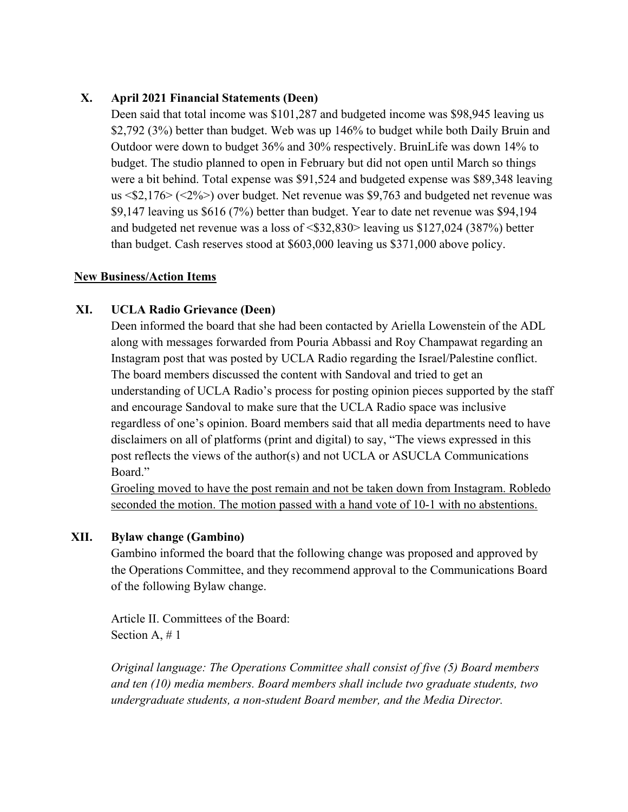### **X. April 2021 Financial Statements (Deen)**

Deen said that total income was \$101,287 and budgeted income was \$98,945 leaving us \$2,792 (3%) better than budget. Web was up 146% to budget while both Daily Bruin and Outdoor were down to budget 36% and 30% respectively. BruinLife was down 14% to budget. The studio planned to open in February but did not open until March so things were a bit behind. Total expense was \$91,524 and budgeted expense was \$89,348 leaving us <\$2,176> (<2%>) over budget. Net revenue was \$9,763 and budgeted net revenue was \$9,147 leaving us \$616 (7%) better than budget. Year to date net revenue was \$94,194 and budgeted net revenue was a loss of <\$32,830> leaving us \$127,024 (387%) better than budget. Cash reserves stood at \$603,000 leaving us \$371,000 above policy.

### **New Business/Action Items**

### **XI. UCLA Radio Grievance (Deen)**

Deen informed the board that she had been contacted by Ariella Lowenstein of the ADL along with messages forwarded from Pouria Abbassi and Roy Champawat regarding an Instagram post that was posted by UCLA Radio regarding the Israel/Palestine conflict. The board members discussed the content with Sandoval and tried to get an understanding of UCLA Radio's process for posting opinion pieces supported by the staff and encourage Sandoval to make sure that the UCLA Radio space was inclusive regardless of one's opinion. Board members said that all media departments need to have disclaimers on all of platforms (print and digital) to say, "The views expressed in this post reflects the views of the author(s) and not UCLA or ASUCLA Communications Board."

Groeling moved to have the post remain and not be taken down from Instagram. Robledo seconded the motion. The motion passed with a hand vote of 10-1 with no abstentions.

### **XII. Bylaw change (Gambino)**

Gambino informed the board that the following change was proposed and approved by the Operations Committee, and they recommend approval to the Communications Board of the following Bylaw change.

Article II. Committees of the Board: Section A, # 1

*Original language: The Operations Committee shall consist of five (5) Board members and ten (10) media members. Board members shall include two graduate students, two undergraduate students, a non-student Board member, and the Media Director.*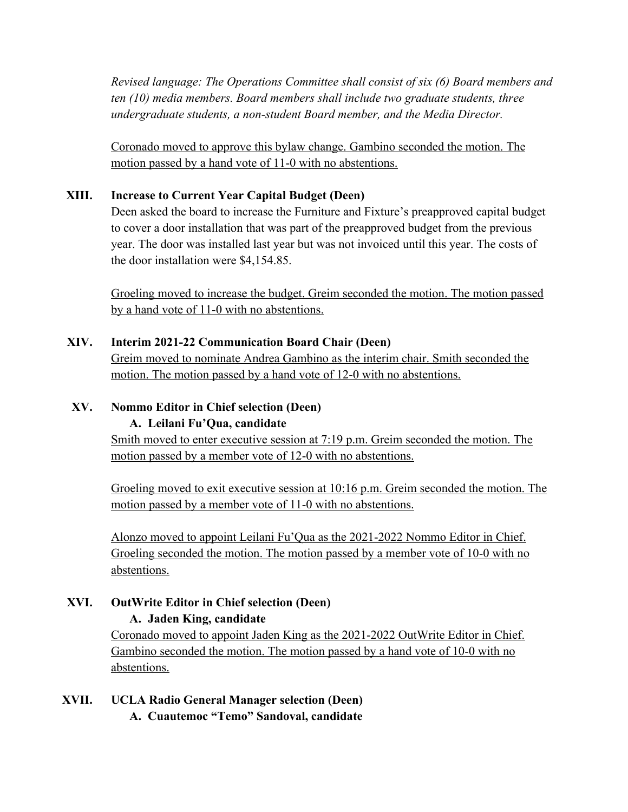*Revised language: The Operations Committee shall consist of six (6) Board members and ten (10) media members. Board members shall include two graduate students, three undergraduate students, a non-student Board member, and the Media Director.*

Coronado moved to approve this bylaw change. Gambino seconded the motion. The motion passed by a hand vote of 11-0 with no abstentions.

### **XIII. Increase to Current Year Capital Budget (Deen)**

Deen asked the board to increase the Furniture and Fixture's preapproved capital budget to cover a door installation that was part of the preapproved budget from the previous year. The door was installed last year but was not invoiced until this year. The costs of the door installation were \$4,154.85.

Groeling moved to increase the budget. Greim seconded the motion. The motion passed by a hand vote of 11-0 with no abstentions.

### **XIV. Interim 2021-22 Communication Board Chair (Deen)**

Greim moved to nominate Andrea Gambino as the interim chair. Smith seconded the motion. The motion passed by a hand vote of 12-0 with no abstentions.

### **XV. Nommo Editor in Chief selection (Deen)**

### **A. Leilani Fu'Qua, candidate**

Smith moved to enter executive session at 7:19 p.m. Greim seconded the motion. The motion passed by a member vote of 12-0 with no abstentions.

Groeling moved to exit executive session at 10:16 p.m. Greim seconded the motion. The motion passed by a member vote of 11-0 with no abstentions.

Alonzo moved to appoint Leilani Fu'Qua as the 2021-2022 Nommo Editor in Chief. Groeling seconded the motion. The motion passed by a member vote of 10-0 with no abstentions.

# **XVI. OutWrite Editor in Chief selection (Deen)**

### **A. Jaden King, candidate**

Coronado moved to appoint Jaden King as the 2021-2022 OutWrite Editor in Chief. Gambino seconded the motion. The motion passed by a hand vote of 10-0 with no abstentions.

**XVII. UCLA Radio General Manager selection (Deen) A. Cuautemoc "Temo" Sandoval, candidate**